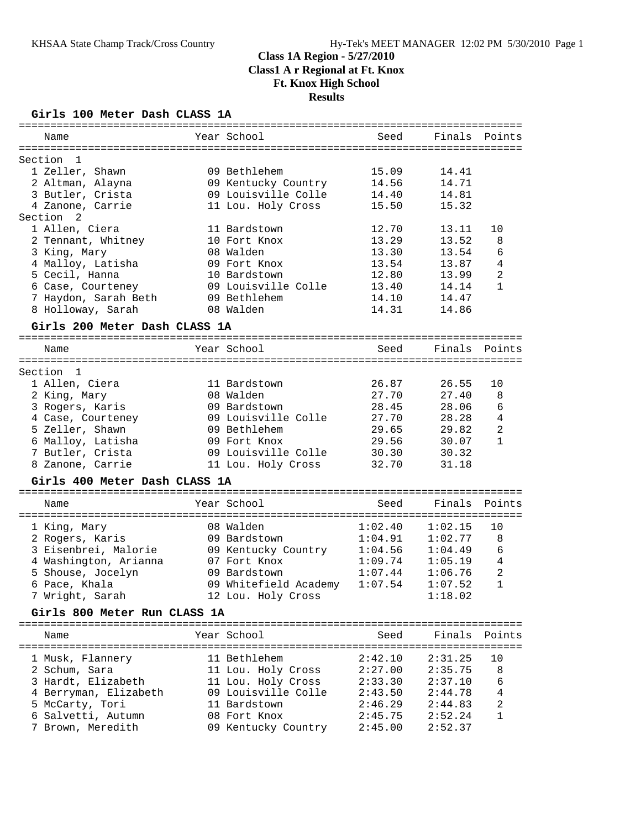#### **Girls 100 Meter Dash CLASS 1A**

| ==========                           |                       | ===================================== |         |                |
|--------------------------------------|-----------------------|---------------------------------------|---------|----------------|
| Name                                 | Year School           | Seed                                  | Finals  | Points         |
|                                      |                       |                                       |         |                |
| Section<br>-1                        |                       |                                       |         |                |
| 1 Zeller, Shawn                      | 09 Bethlehem          | 15.09                                 | 14.41   |                |
| 2 Altman, Alayna                     | 09 Kentucky Country   | 14.56                                 | 14.71   |                |
| 3 Butler, Crista                     | 09 Louisville Colle   | 14.40                                 | 14.81   |                |
| 4 Zanone, Carrie                     | 11 Lou. Holy Cross    | 15.50                                 | 15.32   |                |
| Section<br>2                         |                       |                                       |         |                |
| 1 Allen, Ciera                       | 11 Bardstown          | 12.70                                 | 13.11   | 10             |
| 2 Tennant, Whitney                   | 10 Fort Knox          | 13.29                                 | 13.52   | 8              |
| 3 King, Mary                         | 08 Walden             | 13.30                                 | 13.54   | 6              |
| 4 Malloy, Latisha                    | 09 Fort Knox          | 13.54                                 | 13.87   | 4              |
| 5 Cecil, Hanna                       | 10 Bardstown          | 12.80                                 | 13.99   | $\overline{c}$ |
| 6 Case, Courteney                    | 09 Louisville Colle   | 13.40                                 | 14.14   | $\mathbf{1}$   |
| 7 Haydon, Sarah Beth                 | 09 Bethlehem          | 14.10                                 | 14.47   |                |
| 8 Holloway, Sarah                    | 08 Walden             | 14.31                                 | 14.86   |                |
| Girls 200 Meter Dash CLASS 1A        |                       |                                       |         |                |
|                                      |                       |                                       |         |                |
| Name                                 | Year School           | Seed                                  | Finals  | Points         |
| ==================================== |                       |                                       |         |                |
| Section 1                            |                       |                                       |         |                |
| 1 Allen, Ciera                       | 11 Bardstown          | 26.87                                 | 26.55   | 10             |
| 2 King, Mary                         | 08 Walden             | 27.70                                 | 27.40   | 8              |
| 3 Rogers, Karis                      | 09 Bardstown          | 28.45                                 | 28.06   | 6              |
| 4 Case, Courteney                    | 09 Louisville Colle   | 27.70                                 | 28.28   | 4              |
| 5 Zeller, Shawn                      | 09 Bethlehem          | 29.65                                 | 29.82   | 2              |
| 6 Malloy, Latisha                    | 09 Fort Knox          | 29.56                                 | 30.07   | $\mathbf{1}$   |
| 7 Butler, Crista                     | 09 Louisville Colle   | 30.30                                 | 30.32   |                |
| 8 Zanone, Carrie                     | 11 Lou. Holy Cross    | 32.70                                 | 31.18   |                |
| Girls 400 Meter Dash CLASS 1A        |                       |                                       |         |                |
|                                      |                       |                                       |         |                |
| Name                                 | Year School           | Seed                                  | Finals  | Points         |
|                                      |                       |                                       |         |                |
| 1 King, Mary                         | 08 Walden             | 1:02.40                               | 1:02.15 | 10             |
| 2 Rogers, Karis                      | 09 Bardstown          | 1:04.91                               | 1:02.77 | 8              |
| 3 Eisenbrei, Malorie                 | 09 Kentucky Country   | 1:04.56                               | 1:04.49 | 6              |
| 4 Washington, Arianna                | 07 Fort Knox          | 1:09.74                               | 1:05.19 | $\overline{4}$ |
| 5 Shouse, Jocelyn                    | 09 Bardstown          | 1:07.44                               | 1:06.76 | $\overline{2}$ |
| 6 Pace, Khala                        | 09 Whitefield Academy | 1:07.54                               | 1:07.52 | $\mathbf{1}$   |
| 7 Wright, Sarah                      | 12 Lou. Holy Cross    |                                       | 1:18.02 |                |
| Girls 800 Meter Run CLASS 1A         |                       |                                       |         |                |
|                                      |                       |                                       |         |                |
| Name                                 | Year School           | Seed                                  | Finals  | Points         |
| 1 Musk, Flannery                     | 11 Bethlehem          | 2:42.10                               | 2:31.25 | 10             |
| 2 Schum, Sara                        | 11 Lou. Holy Cross    | 2:27.00                               | 2:35.75 | 8              |
| 3 Hardt, Elizabeth                   | 11 Lou. Holy Cross    | 2:33.30                               | 2:37.10 | 6              |
| 4 Berryman, Elizabeth                | 09 Louisville Colle   | 2:43.50                               | 2:44.78 | $\overline{4}$ |
| 5 McCarty, Tori                      | 11 Bardstown          | 2:46.29                               | 2:44.83 | 2              |
| 6 Salvetti, Autumn                   | 08 Fort Knox          | 2:45.75                               | 2:52.24 | 1              |
| 7 Brown, Meredith                    | 09 Kentucky Country   | 2:45.00                               | 2:52.37 |                |
|                                      |                       |                                       |         |                |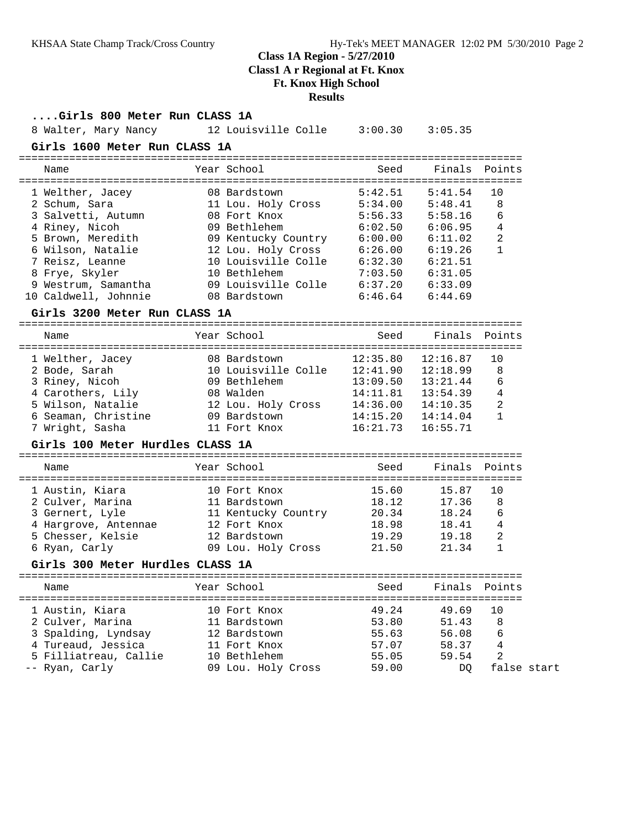### **Class 1A Region - 5/27/2010**

**Class1 A r Regional at Ft. Knox**

# **Ft. Knox High School**

### **Results**

| Girls 800 Meter Run CLASS 1A                |                                                                                                                                                                                                                  |                    |                      |                |
|---------------------------------------------|------------------------------------------------------------------------------------------------------------------------------------------------------------------------------------------------------------------|--------------------|----------------------|----------------|
|                                             | 8 Walter, Mary Nancy 12 Louisville Colle 3:00.30 3:05.35                                                                                                                                                         |                    |                      |                |
| Girls 1600 Meter Run CLASS 1A               |                                                                                                                                                                                                                  |                    |                      |                |
| Name                                        | Year School                                                                                                                                                                                                      | Seed               |                      | Finals Points  |
|                                             | 1 Welther, Jacey 08 Bardstown 5:42.01 (1991)<br>2 Schum, Sara 11 Lou. Holy Cross 5:34.00 5:48.41 8<br>3 Salvetti, Autumn 08 Fort Knox 5:56.33 5:58.16 6<br>4 Riney. Nicoh 09 Bethlehem 6:02.50 6:06.95 4         |                    |                      |                |
|                                             |                                                                                                                                                                                                                  |                    |                      |                |
|                                             |                                                                                                                                                                                                                  |                    |                      |                |
|                                             |                                                                                                                                                                                                                  |                    |                      |                |
|                                             | 5 Brown, Meredith 69 Kentucky Country 6:00.00 6:11.02                                                                                                                                                            |                    |                      |                |
|                                             | 6 Wilson, Natalie 12 Lou. Holy Cross 6:26.00 6:19.26                                                                                                                                                             |                    |                      | $\mathbf{1}$   |
|                                             |                                                                                                                                                                                                                  |                    |                      |                |
|                                             |                                                                                                                                                                                                                  |                    |                      |                |
|                                             |                                                                                                                                                                                                                  |                    |                      |                |
| 10 Caldwell, Johnnie 608 Bardstown          | 7 Reisz, Leanne<br>8 Frye, Skyler<br>9 Westrum, Samantha<br>10 Bethlehem<br>10 Bethlehem<br>10 Bethlehem<br>10 Bethlehem<br>7:03.50<br>6:31.05<br>6:31.05<br>6:33.09<br>6:33.09<br>6:33.09<br>6:33.09<br>6:34.05 |                    |                      |                |
| Girls 3200 Meter Run CLASS 1A               |                                                                                                                                                                                                                  |                    |                      |                |
| Name                                        | Year School                                                                                                                                                                                                      | Seed               |                      | Finals Points  |
|                                             |                                                                                                                                                                                                                  |                    |                      |                |
| 1 Welther, Jacey 68 Bardstown               |                                                                                                                                                                                                                  | 12:35.80           | 12:16.87             | 10             |
| 2 Bode, Sarah                               | 10 Louisville Colle 12:41.90 12:18.99                                                                                                                                                                            |                    |                      | 8              |
| 3 Riney, Nicoh                              | 09 Bethlehem                                                                                                                                                                                                     | 13:09.50           | 13:21.44             | 6              |
| 4 Carothers, Lily                           | 08 Walden 14:11.81<br>12 Lou. Holy Cross 14:36.00<br>09 Bardstown 14:15.20                                                                                                                                       | 14:11.81  13:54.39 |                      | $\overline{4}$ |
| 5 Wilson, Natalie                           |                                                                                                                                                                                                                  |                    | 14:10.35             | $\overline{2}$ |
| 6 Seaman, Christine<br>7 Wright, Sasha      | 11 Fort Knox                                                                                                                                                                                                     | 16:21.73           | 14:14.04<br>16:55.71 | $\mathbf{1}$   |
| Girls 100 Meter Hurdles CLASS 1A            |                                                                                                                                                                                                                  |                    |                      |                |
|                                             |                                                                                                                                                                                                                  |                    |                      |                |
| Name                                        | Year School                                                                                                                                                                                                      | Seed               | Finals Points        |                |
| 1 Austin, Kiara                             | 10 Fort Knox                                                                                                                                                                                                     |                    | 15.60 15.87          | 10             |
| 2 Culver, Marina                            | 11 Bardstown                                                                                                                                                                                                     |                    | 18.12 17.36          | 8              |
| 3 Gernert, Lyle                             | 11 Kentucky Country 20.34 18.24                                                                                                                                                                                  |                    |                      | 6              |
| 4 Hargrove, Antennae                        | 12 Fort Knox                                                                                                                                                                                                     | 18.98<br>19.29     | $18.41$ 4            |                |
| 5 Chesser, Kelsie<br>6 Ryan, Carly          |                                                                                                                                                                                                                  |                    | 19.18                | $\overline{2}$ |
|                                             |                                                                                                                                                                                                                  |                    | 21.34                | $\mathbf 1$    |
| Girls 300 Meter Hurdles CLASS 1A            |                                                                                                                                                                                                                  |                    |                      |                |
| Name                                        | Year School                                                                                                                                                                                                      | Seed               | Finals               | Points         |
|                                             |                                                                                                                                                                                                                  |                    |                      | ===========    |
| 1 Austin, Kiara                             | 10 Fort Knox                                                                                                                                                                                                     | 49.24              | 49.69                | 10             |
| 2 Culver, Marina                            | 11 Bardstown                                                                                                                                                                                                     | 53.80              | 51.43                | 8              |
| 3 Spalding, Lyndsay                         | 12 Bardstown<br>11 Fort Knox                                                                                                                                                                                     | 55.63              | 56.08                | 6<br>4         |
| 4 Tureaud, Jessica<br>5 Filliatreau, Callie | 10 Bethlehem                                                                                                                                                                                                     | 57.07<br>55.05     | 58.37<br>59.54       | 2              |
| -- Ryan, Carly                              | 09 Lou. Holy Cross                                                                                                                                                                                               | 59.00              | DQ                   | false start    |
|                                             |                                                                                                                                                                                                                  |                    |                      |                |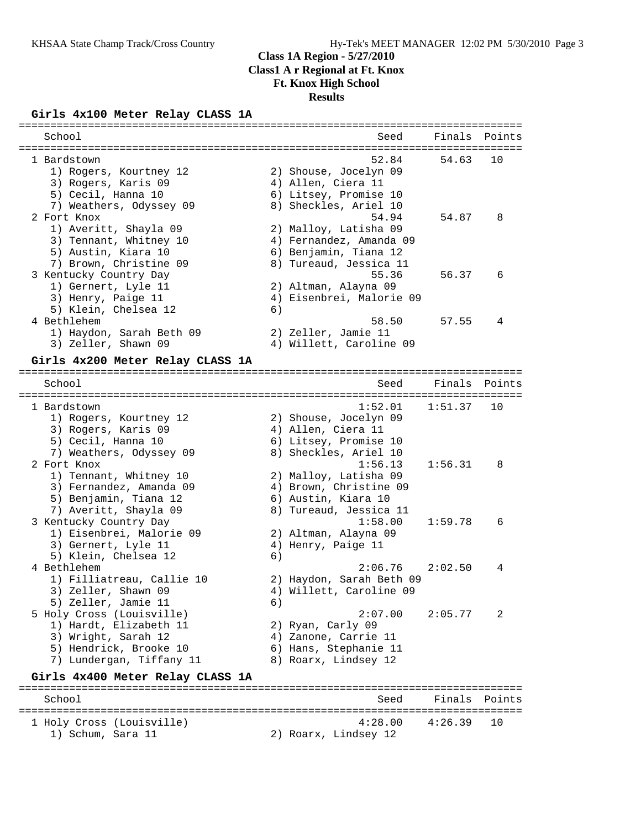### **Girls 4x100 Meter Relay CLASS 1A**

| =====================            |    |                          |                     |        |
|----------------------------------|----|--------------------------|---------------------|--------|
| School                           |    | Seed                     | Finals              | Points |
|                                  |    |                          |                     |        |
| 1 Bardstown                      |    | 52.84                    | 54.63               | 10     |
| 1) Rogers, Kourtney 12           |    | 2) Shouse, Jocelyn 09    |                     |        |
| 3) Rogers, Karis 09              |    | 4) Allen, Ciera 11       |                     |        |
| 5) Cecil, Hanna 10               |    | 6) Litsey, Promise 10    |                     |        |
| 7) Weathers, Odyssey 09          |    | 8) Sheckles, Ariel 10    |                     |        |
| 2 Fort Knox                      |    | 54.94                    | 54.87               | 8      |
| 1) Averitt, Shayla 09            |    | 2) Malloy, Latisha 09    |                     |        |
| 3) Tennant, Whitney 10           |    | 4) Fernandez, Amanda 09  |                     |        |
| 5) Austin, Kiara 10              |    | 6) Benjamin, Tiana 12    |                     |        |
| 7) Brown, Christine 09           |    | 8) Tureaud, Jessica 11   |                     |        |
| 3 Kentucky Country Day           |    | 55.36                    | 56.37               | 6      |
| 1) Gernert, Lyle 11              |    | 2) Altman, Alayna 09     |                     |        |
| 3) Henry, Paige 11               |    | 4) Eisenbrei, Malorie 09 |                     |        |
| 5) Klein, Chelsea 12             | 6) |                          |                     |        |
| 4 Bethlehem                      |    | 58.50                    | 57.55               | 4      |
| 1) Haydon, Sarah Beth 09         |    | 2) Zeller, Jamie 11      |                     |        |
| 3) Zeller, Shawn 09              |    | 4) Willett, Caroline 09  |                     |        |
| Girls 4x200 Meter Relay CLASS 1A |    |                          |                     |        |
|                                  |    |                          |                     |        |
| School                           |    | Seed                     | Finals<br>--------- | Points |
| 1 Bardstown                      |    | 1:52.01                  | 1:51.37             | 10     |
| 1) Rogers, Kourtney 12           |    | 2) Shouse, Jocelyn 09    |                     |        |
| 3) Rogers, Karis 09              |    | 4) Allen, Ciera 11       |                     |        |
| 5) Cecil, Hanna 10               |    | 6) Litsey, Promise 10    |                     |        |
| 7) Weathers, Odyssey 09          |    | 8) Sheckles, Ariel 10    |                     |        |
| 2 Fort Knox                      |    | 1:56.13                  | 1:56.31             | 8      |
| 1) Tennant, Whitney 10           |    | 2) Malloy, Latisha 09    |                     |        |
| 3) Fernandez, Amanda 09          |    | 4) Brown, Christine 09   |                     |        |
| 5) Benjamin, Tiana 12            |    | 6) Austin, Kiara 10      |                     |        |
| 7) Averitt, Shayla 09            |    | 8) Tureaud, Jessica 11   |                     |        |
| 3 Kentucky Country Day           |    | 1:58.00                  | 1:59.78             | 6      |
| 1) Eisenbrei, Malorie 09         |    | 2) Altman, Alayna 09     |                     |        |
| 3) Gernert, Lyle 11              |    | 4) Henry, Paige 11       |                     |        |
| 5) Klein, Chelsea 12             | 6) |                          |                     |        |
| 4 Bethlehem                      |    | 2:06.76                  | 2:02.50             | 4      |
| 1) Filliatreau, Callie 10        |    | 2) Haydon, Sarah Beth 09 |                     |        |
| 3) Zeller, Shawn 09              |    | 4) Willett, Caroline 09  |                     |        |
| 5) Zeller, Jamie 11              | 6) |                          |                     |        |
| 5 Holy Cross (Louisville)        |    | 2:07.00                  | 2:05.77             | 2      |
| 1) Hardt, Elizabeth 11           |    | 2) Ryan, Carly 09        |                     |        |
| 3) Wright, Sarah 12              |    | 4) Zanone, Carrie 11     |                     |        |
| 5) Hendrick, Brooke 10           |    | 6) Hans, Stephanie 11    |                     |        |
| 7) Lundergan, Tiffany 11         |    | 8) Roarx, Lindsey 12     |                     |        |
|                                  |    |                          |                     |        |
| Girls 4x400 Meter Relay CLASS 1A |    |                          |                     |        |
| School                           |    | Seed                     | Finals              | Points |
|                                  |    |                          |                     |        |
| 1 Holy Cross (Louisville)        |    | 4:28.00                  | 4:26.39             | 10     |
| 1) Schum, Sara 11                |    | 2) Roarx, Lindsey 12     |                     |        |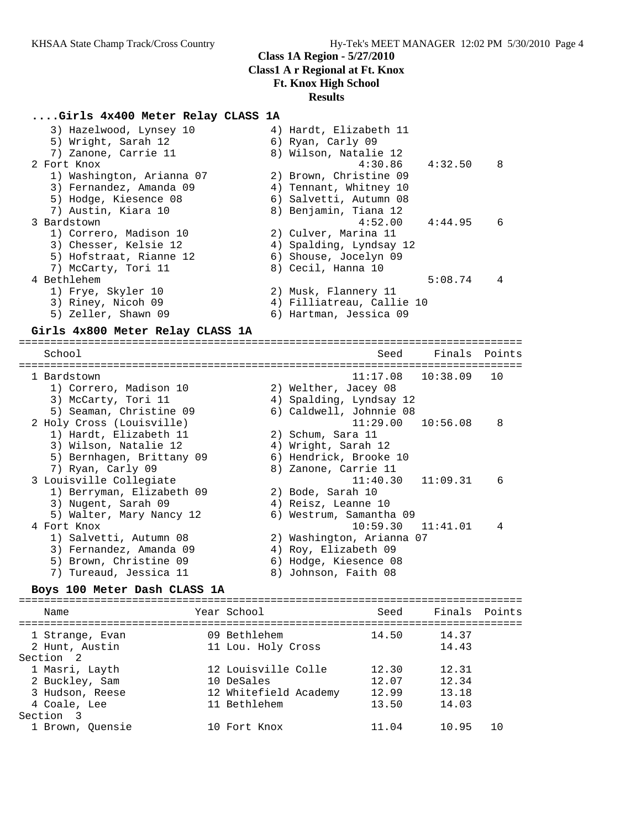#### **....Girls 4x400 Meter Relay CLASS 1A**

| 3) Hazelwood, Lynsey 10   | 4) Hardt, Elizabeth 11    |         |                |
|---------------------------|---------------------------|---------|----------------|
| 5) Wright, Sarah 12       | 6) Ryan, Carly 09         |         |                |
| 7) Zanone, Carrie 11      | 8) Wilson, Natalie 12     |         |                |
| 2 Fort Knox               | $4:30.86$ $4:32.50$       |         | $_{\rm 8}$     |
| 1) Washington, Arianna 07 | 2) Brown, Christine 09    |         |                |
| 3) Fernandez, Amanda 09   | 4) Tennant, Whitney 10    |         |                |
| 5) Hodge, Kiesence 08     | 6) Salvetti, Autumn 08    |         |                |
| 7) Austin, Kiara 10       | 8) Benjamin, Tiana 12     |         |                |
| 3 Bardstown               | $4:52.00$ $4:44.95$       |         | 6              |
| 1) Correro, Madison 10    | 2) Culver, Marina 11      |         |                |
| 3) Chesser, Kelsie 12     | 4) Spalding, Lyndsay 12   |         |                |
| 5) Hofstraat, Rianne 12   | 6) Shouse, Jocelyn 09     |         |                |
| 7) McCarty, Tori 11       | 8) Cecil, Hanna 10        |         |                |
| 4 Bethlehem               |                           | 5:08.74 | $\overline{4}$ |
| 1) Frye, Skyler 10        | 2) Musk, Flannery 11      |         |                |
| 3) Riney, Nicoh 09        | 4) Filliatreau, Callie 10 |         |                |
| 5) Zeller, Shawn 09       | 6) Hartman, Jessica 09    |         |                |
|                           |                           |         |                |

#### **Girls 4x800 Meter Relay CLASS 1A**

================================================================================ School Seed Finals Points ================================================================================ 1 Bardstown 11:17.08 10:38.09 10 1) Correro, Madison 10 2) Welther, Jacey 08 3) McCarty, Tori 11 4) Spalding, Lyndsay 12 5) Seaman, Christine 09 6) Caldwell, Johnnie 08 2 Holy Cross (Louisville) 11:29.00 10:56.08 8 1) Hardt, Elizabeth 11  $\qquad \qquad$  2) Schum, Sara 11 3) Wilson, Natalie 12  $\hskip1cm$  4) Wright, Sarah 12 5) Bernhagen, Brittany 09 6) Hendrick, Brooke 10 7) Ryan, Carly 09 8) Zanone, Carrie 11 3 Louisville Collegiate 11:40.30 11:09.31 6 1) Berryman, Elizabeth 09 2) Bode, Sarah 10 3) Nugent, Sarah 09  $\hskip1cm \hskip1cm 4$ ) Reisz, Leanne 10 5) Walter, Mary Nancy 12 6) Westrum, Samantha 09 4 Fort Knox 10:59.30 11:41.01 4 1) Salvetti, Autumn 08 2) Washington, Arianna 07 3) Fernandez, Amanda 09 4) Roy, Elizabeth 09 5) Brown, Christine 09 6) Hodge, Kiesence 08 7) Tureaud, Jessica 11  $\hskip1cm 8)$  Johnson, Faith 08

#### **Boys 100 Meter Dash CLASS 1A**

#### ================================================================================ Name The Year School Seed Finals Points ================================================================================ 1 Strange, Evan 09 Bethlehem 14.50 14.37 2 Hunt, Austin 11 Lou. Holy Cross 14.43 Section 2 1 Masri, Layth 12 Louisville Colle 12.30 12.31 2 Buckley, Sam 10 DeSales 12.07 12.34 3 Hudson, Reese 12 Whitefield Academy 12.99 13.18 4 Coale, Lee 11 Bethlehem 13.50 14.03 Section 3 1 Brown, Quensie 10 Fort Knox 11.04 10.95 10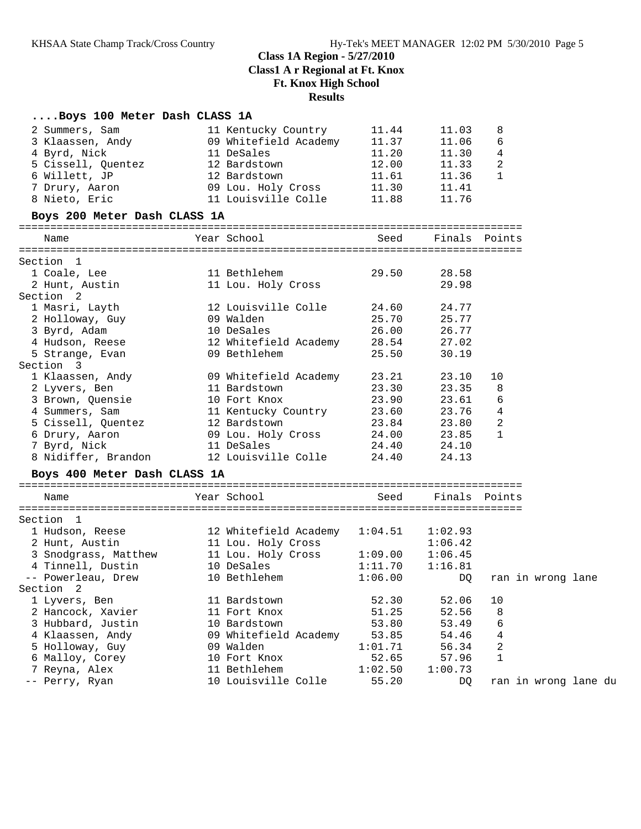### **....Boys 100 Meter Dash CLASS 1A**

| 2 Summers, Sam               | 11 Kentucky Country   | 11.44   | 11.03         | 8  |                      |  |
|------------------------------|-----------------------|---------|---------------|----|----------------------|--|
| 3 Klaassen, Andy             | 09 Whitefield Academy | 11.37   | 11.06         | 6  |                      |  |
| 4 Byrd, Nick                 | 11 DeSales            | 11.20   | 11.30         | 4  |                      |  |
| 5 Cissell, Quentez           | 12 Bardstown          | 12.00   | 11.33         | 2  |                      |  |
| 6 Willett, JP                | 12 Bardstown          | 11.61   | 11.36         | 1  |                      |  |
| 7 Drury, Aaron               | 09 Lou. Holy Cross    | 11.30   | 11.41         |    |                      |  |
| 8 Nieto, Eric                | 11 Louisville Colle   | 11.88   | 11.76         |    |                      |  |
| Boys 200 Meter Dash CLASS 1A |                       |         |               |    |                      |  |
| Name                         | Year School           | Seed    | Finals Points |    |                      |  |
| Section 1                    |                       |         |               |    |                      |  |
| 1 Coale, Lee                 | 11 Bethlehem          | 29.50   | 28.58         |    |                      |  |
| 2 Hunt, Austin               | 11 Lou. Holy Cross    |         | 29.98         |    |                      |  |
| Section 2                    |                       |         |               |    |                      |  |
| 1 Masri, Layth               | 12 Louisville Colle   | 24.60   | 24.77         |    |                      |  |
| 2 Holloway, Guy              | 09 Walden             | 25.70   | 25.77         |    |                      |  |
| 3 Byrd, Adam                 | 10 DeSales            | 26.00   | 26.77         |    |                      |  |
| 4 Hudson, Reese              | 12 Whitefield Academy | 28.54   | 27.02         |    |                      |  |
| 5 Strange, Evan              | 09 Bethlehem          | 25.50   | 30.19         |    |                      |  |
| Section 3                    |                       |         |               |    |                      |  |
| 1 Klaassen, Andy             | 09 Whitefield Academy | 23.21   | 23.10         | 10 |                      |  |
| 2 Lyvers, Ben                | 11 Bardstown          | 23.30   | 23.35         | 8  |                      |  |
| 3 Brown, Quensie             | 10 Fort Knox          | 23.90   | 23.61         | 6  |                      |  |
| 4 Summers, Sam               | 11 Kentucky Country   | 23.60   | 23.76         | 4  |                      |  |
| 5 Cissell, Quentez           | 12 Bardstown          | 23.84   | 23.80         | 2  |                      |  |
| 6 Drury, Aaron               | 09 Lou. Holy Cross    | 24.00   | 23.85         | 1  |                      |  |
| 7 Byrd, Nick                 | 11 DeSales            | 24.40   | 24.10         |    |                      |  |
| 8 Nidiffer, Brandon          | 12 Louisville Colle   | 24.40   | 24.13         |    |                      |  |
| Boys 400 Meter Dash CLASS 1A |                       |         |               |    |                      |  |
| Name                         | Year School           | Seed    | Finals Points |    |                      |  |
|                              |                       |         |               |    |                      |  |
| Section 1                    |                       |         |               |    |                      |  |
| 1 Hudson, Reese              | 12 Whitefield Academy | 1:04.51 | 1:02.93       |    |                      |  |
| 2 Hunt, Austin               | 11 Lou. Holy Cross    |         | 1:06.42       |    |                      |  |
| 3 Snodgrass, Matthew         | 11 Lou. Holy Cross    | 1:09.00 | 1:06.45       |    |                      |  |
| 4 Tinnell, Dustin            | 10 DeSales            | 1:11.70 | 1:16.81       |    |                      |  |
| -- Powerleau, Drew           | 10 Bethlehem          | 1:06.00 | DQ.           |    | ran in wrong lane    |  |
| Section 2                    |                       |         |               |    |                      |  |
| 1 Lyvers, Ben                | 11 Bardstown          | 52.30   | 52.06         | 10 |                      |  |
| 2 Hancock, Xavier            | 11 Fort Knox          | 51.25   | 52.56         | 8  |                      |  |
| 3 Hubbard, Justin            | 10 Bardstown          | 53.80   | 53.49         | 6  |                      |  |
| 4 Klaassen, Andy             | 09 Whitefield Academy | 53.85   | 54.46         | 4  |                      |  |
| 5 Holloway, Guy              | 09 Walden             | 1:01.71 | 56.34         | 2  |                      |  |
| 6 Malloy, Corey              | 10 Fort Knox          | 52.65   | 57.96         | 1  |                      |  |
| Reyna, Alex<br>7             | 11 Bethlehem          | 1:02.50 | 1:00.73       |    |                      |  |
| -- Perry, Ryan               | 10 Louisville Colle   | 55.20   | DQ            |    | ran in wrong lane du |  |
|                              |                       |         |               |    |                      |  |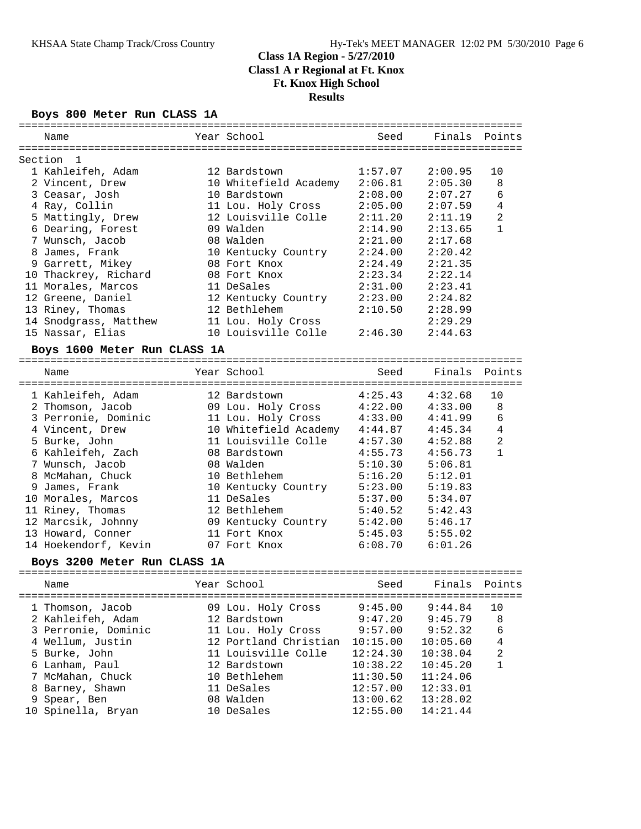#### **Boys 800 Meter Run CLASS 1A**

| ============                      |                                       |         |         |                |
|-----------------------------------|---------------------------------------|---------|---------|----------------|
| Name                              | Year School                           | Seed    | Finals  | Points         |
| Section<br>-1                     |                                       |         |         |                |
| 1 Kahleifeh, Adam                 | 12 Bardstown                          | 1:57.07 | 2:00.95 | 10             |
|                                   |                                       | 2:06.81 | 2:05.30 | 8              |
| 2 Vincent, Drew<br>3 Ceasar, Josh | 10 Whitefield Academy<br>10 Bardstown | 2:08.00 | 2:07.27 | 6              |
|                                   |                                       |         |         |                |
| 4 Ray, Collin                     | 11 Lou. Holy Cross                    | 2:05.00 | 2:07.59 | 4              |
| 5 Mattingly, Drew                 | 12 Louisville Colle                   | 2:11.20 | 2:11.19 | $\overline{2}$ |
| 6 Dearing, Forest                 | 09 Walden                             | 2:14.90 | 2:13.65 | $\mathbf{1}$   |
| 7 Wunsch, Jacob                   | 08 Walden                             | 2:21.00 | 2:17.68 |                |
| 8 James, Frank                    | 10 Kentucky Country                   | 2:24.00 | 2:20.42 |                |
| 9 Garrett, Mikey                  | 08 Fort Knox                          | 2:24.49 | 2:21.35 |                |
| 10 Thackrey, Richard              | 08 Fort Knox                          | 2:23.34 | 2:22.14 |                |
| 11 Morales, Marcos                | 11 DeSales                            | 2:31.00 | 2:23.41 |                |
| 12 Greene, Daniel                 | 12 Kentucky Country                   | 2:23.00 | 2:24.82 |                |
| 13 Riney, Thomas                  | 12 Bethlehem                          | 2:10.50 | 2:28.99 |                |
| 14 Snodgrass, Matthew             | 11 Lou. Holy Cross                    |         | 2:29.29 |                |
| 15 Nassar, Elias                  | 10 Louisville Colle                   | 2:46.30 | 2:44.63 |                |
| Boys 1600 Meter Run CLASS 1A      |                                       |         |         |                |
| Name                              | Year School                           | Seed    | Finals  | Points         |
|                                   |                                       |         |         |                |
| 1 Kahleifeh, Adam                 | 12 Bardstown                          | 4:25.43 | 4:32.68 | 10             |
| 2 Thomson, Jacob                  | 09 Lou. Holy Cross 4:22.00            |         | 4:33.00 | 8              |
| 3 Perronie, Dominic               | 11 Lou. Holy Cross 4:33.00            |         | 4:41.99 | 6              |
| 4 Vincent, Drew                   | 10 Whitefield Academy 4:44.87         |         | 4:45.34 | $\overline{4}$ |
| 5 Burke, John                     | 11 Louisville Colle 4:57.30           |         | 4:52.88 | $\overline{2}$ |
| 6 Kahleifeh, Zach                 | 08 Bardstown                          | 4:55.73 | 4:56.73 | $\mathbf{1}$   |
| 7 Wunsch, Jacob                   | 08 Walden                             | 5:10.30 | 5:06.81 |                |
| 8 McMahan, Chuck                  | 10 Bethlehem                          | 5:16.20 | 5:12.01 |                |
| 9 James, Frank                    | 10 Kentucky Country                   | 5:23.00 | 5:19.83 |                |
| 10 Morales, Marcos                | 11 DeSales                            | 5:37.00 | 5:34.07 |                |
| 11 Riney, Thomas                  | 12 Bethlehem                          | 5:40.52 | 5:42.43 |                |
| 12 Marcsik, Johnny                | 09 Kentucky Country                   | 5:42.00 | 5:46.17 |                |
| 13 Howard, Conner                 | 11 Fort Knox                          | 5:45.03 | 5:55.02 |                |
| 14 Hoekendorf, Kevin              | 07 Fort Knox                          | 6:08.70 | 6:01.26 |                |
|                                   |                                       |         |         |                |
| Boys 3200 Meter Run CLASS 1A      |                                       |         |         |                |
|                                   |                                       |         |         |                |

 Name Year School Seed Finals Points ================================================================================ 1 Thomson, Jacob 09 Lou. Holy Cross 9:45.00 9:44.84 10 2 Kahleifeh, Adam 12 Bardstown 9:47.20 9:45.79 8 3 Perronie, Dominic 11 Lou. Holy Cross 9:57.00 9:52.32 6 4 Wellum, Justin 12 Portland Christian 10:15.00 10:05.60 4 5 Burke, John 11 Louisville Colle 12:24.30 10:38.04 2 6 Lanham, Paul 12 Bardstown 10:38.22 10:45.20 1 7 McMahan, Chuck 10 Bethlehem 11:30.50 11:24.06 8 Barney, Shawn 11 DeSales 12:57.00 12:33.01 9 Spear, Ben 08 Walden 13:00.62 13:28.02 10 Spinella, Bryan 10 DeSales 12:55.00 14:21.44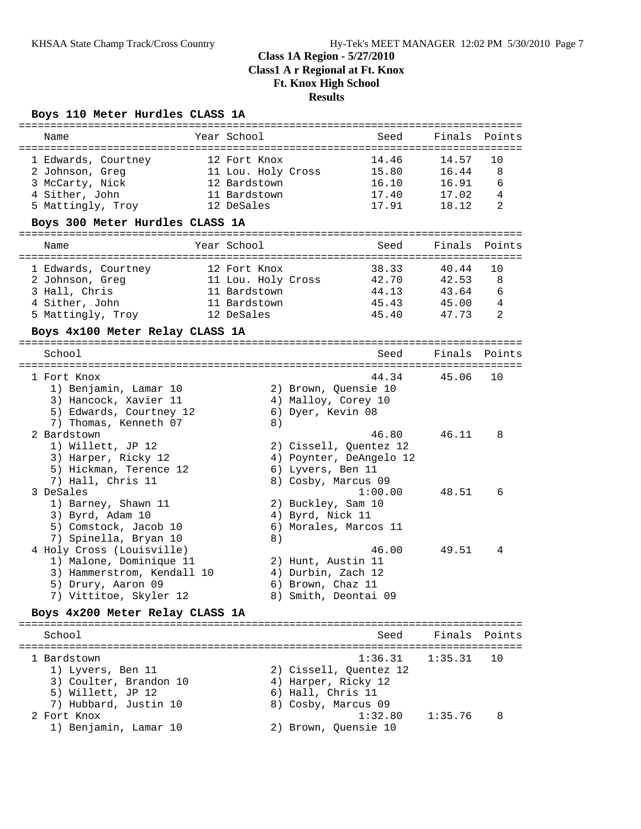### **Boys 110 Meter Hurdles CLASS 1A**

| Name                                                                                                                                                                                                                                                                                                                                                                                                                                              | Year School                                                                      | Seed                                                                                                                                                                                                                                                                                                                                        | Finals                                    | Points                 |
|---------------------------------------------------------------------------------------------------------------------------------------------------------------------------------------------------------------------------------------------------------------------------------------------------------------------------------------------------------------------------------------------------------------------------------------------------|----------------------------------------------------------------------------------|---------------------------------------------------------------------------------------------------------------------------------------------------------------------------------------------------------------------------------------------------------------------------------------------------------------------------------------------|-------------------------------------------|------------------------|
| 1 Edwards, Courtney<br>2 Johnson, Greg<br>3 McCarty, Nick<br>4 Sither, John<br>5 Mattingly, Troy                                                                                                                                                                                                                                                                                                                                                  | 12 Fort Knox<br>11 Lou. Holy Cross<br>12 Bardstown<br>11 Bardstown<br>12 DeSales | 14.46<br>15.80<br>16.10<br>17.40<br>17.91                                                                                                                                                                                                                                                                                                   | 14.57<br>16.44<br>16.91<br>17.02<br>18.12 | 10<br>8<br>6<br>4<br>2 |
| Boys 300 Meter Hurdles CLASS 1A                                                                                                                                                                                                                                                                                                                                                                                                                   |                                                                                  |                                                                                                                                                                                                                                                                                                                                             |                                           |                        |
| Name                                                                                                                                                                                                                                                                                                                                                                                                                                              | Year School                                                                      | Seed                                                                                                                                                                                                                                                                                                                                        | Finals                                    | Points                 |
| 1 Edwards, Courtney<br>2 Johnson, Greg<br>3 Hall, Chris<br>4 Sither, John<br>5 Mattingly, Troy<br>Boys 4x100 Meter Relay CLASS 1A                                                                                                                                                                                                                                                                                                                 | 12 Fort Knox<br>11 Lou. Holy Cross<br>11 Bardstown<br>11 Bardstown<br>12 DeSales | 38.33<br>42.70<br>44.13<br>45.43<br>45.40                                                                                                                                                                                                                                                                                                   | 40.44<br>42.53<br>43.64<br>45.00<br>47.73 | 10<br>8<br>6<br>4<br>2 |
|                                                                                                                                                                                                                                                                                                                                                                                                                                                   |                                                                                  |                                                                                                                                                                                                                                                                                                                                             |                                           |                        |
| School                                                                                                                                                                                                                                                                                                                                                                                                                                            |                                                                                  | Seed                                                                                                                                                                                                                                                                                                                                        | Finals                                    | Points                 |
| 1 Fort Knox<br>1) Benjamin, Lamar 10<br>3) Hancock, Xavier 11<br>5) Edwards, Courtney 12<br>7) Thomas, Kenneth 07<br>2 Bardstown<br>1) Willett, JP 12<br>3) Harper, Ricky 12<br>5) Hickman, Terence 12<br>7) Hall, Chris 11<br>3 DeSales<br>1) Barney, Shawn 11<br>3) Byrd, Adam 10<br>5) Comstock, Jacob 10<br>7) Spinella, Bryan 10<br>4 Holy Cross (Louisville)<br>1) Malone, Dominique 11<br>3) Hammerstrom, Kendall 10<br>5) Drury, Aaron 09 | 8)<br>8)                                                                         | 44.34<br>2) Brown, Ouensie 10<br>4) Malloy, Corey 10<br>6) Dyer, Kevin 08<br>46.80<br>2) Cissell, Quentez 12<br>4) Poynter, DeAngelo 12<br>6) Lyvers, Ben 11<br>8) Cosby, Marcus 09<br>1:00.00<br>2) Buckley, Sam 10<br>4) Byrd, Nick 11<br>6) Morales, Marcos 11<br>46.00<br>2) Hunt, Austin 11<br>4) Durbin, Zach 12<br>6) Brown, Chaz 11 | 45.06<br>46.11<br>48.51<br>49.51          | 10<br>8<br>6<br>4      |
| 7) Vittitoe, Skyler 12<br>Boys 4x200 Meter Relay CLASS 1A                                                                                                                                                                                                                                                                                                                                                                                         |                                                                                  | 8) Smith, Deontai 09                                                                                                                                                                                                                                                                                                                        |                                           |                        |
| School                                                                                                                                                                                                                                                                                                                                                                                                                                            |                                                                                  | Seed                                                                                                                                                                                                                                                                                                                                        |                                           | Finals Points          |
| 1 Bardstown<br>1) Lyvers, Ben 11<br>3) Coulter, Brandon 10<br>5) Willett, JP 12                                                                                                                                                                                                                                                                                                                                                                   |                                                                                  | 1:36.31<br>2) Cissell, Quentez 12<br>4) Harper, Ricky 12<br>6) Hall, Chris 11                                                                                                                                                                                                                                                               | 1:35.31                                   | 10                     |
| 7) Hubbard, Justin 10<br>2 Fort Knox<br>1) Benjamin, Lamar 10                                                                                                                                                                                                                                                                                                                                                                                     |                                                                                  | 8) Cosby, Marcus 09<br>1:32.80<br>2) Brown, Quensie 10                                                                                                                                                                                                                                                                                      | 1:35.76                                   | 8                      |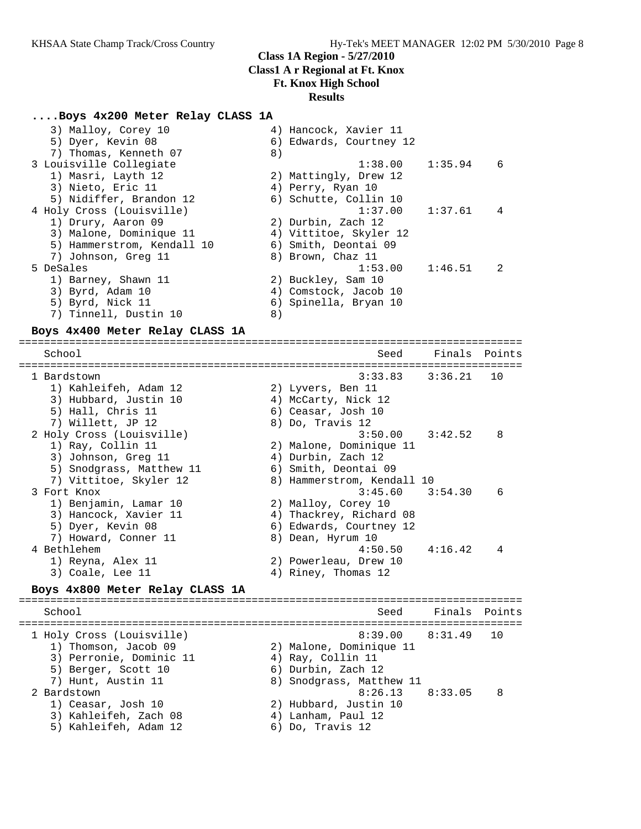#### **....Boys 4x200 Meter Relay CLASS 1A**

| 3) Malloy, Corey 10        | 4) Hancock, Xavier 11   |         |                |
|----------------------------|-------------------------|---------|----------------|
| 5) Dyer, Kevin 08          | 6) Edwards, Courtney 12 |         |                |
| 7) Thomas, Kenneth 07      | 8)                      |         |                |
| 3 Louisville Collegiate    | 1:38.00                 | 1:35.94 | - 6            |
| 1) Masri, Layth 12         | 2) Mattingly, Drew 12   |         |                |
| 3) Nieto, Eric 11          | 4) Perry, Ryan 10       |         |                |
| 5) Nidiffer, Brandon 12    | 6) Schutte, Collin 10   |         |                |
| 4 Holy Cross (Louisville)  | $1:37.00$ $1:37.61$     |         | $\overline{4}$ |
| 1) Drury, Aaron 09         | 2) Durbin, Zach 12      |         |                |
| 3) Malone, Dominique 11    | 4) Vittitoe, Skyler 12  |         |                |
| 5) Hammerstrom, Kendall 10 | 6) Smith, Deontai 09    |         |                |
| 7) Johnson, Greg 11        | 8) Brown, Chaz 11       |         |                |
| 5 DeSales                  | 1:53.00                 | 1:46.51 | 2              |
| 1) Barney, Shawn 11        | 2) Buckley, Sam 10      |         |                |
| 3) Byrd, Adam 10           | 4) Comstock, Jacob 10   |         |                |
| 5) Byrd, Nick 11           | 6) Spinella, Bryan 10   |         |                |
| 7) Tinnell, Dustin 10      | 8)                      |         |                |

#### **Boys 4x400 Meter Relay CLASS 1A**

================================================================================ School School School Seed Finals Points ================================================================================ 1 Bardstown 3:33.83 3:36.21 10 1) Kahleifeh, Adam 12 2) Lyvers, Ben 11 3) Hubbard, Justin 10 (4) McCarty, Nick 12 5) Hall, Chris 11 6) Ceasar, Josh 10 7) Willett, JP 12 8) Do, Travis 12 2 Holy Cross (Louisville) 3:50.00 3:42.52 8 1) Ray, Collin 11 2) Malone, Dominique 11 3) Johnson, Greg 11 (4) Durbin, Zach 12 5) Snodgrass, Matthew 11 6) Smith, Deontai 09 7) Vittitoe, Skyler 12 8) Hammerstrom, Kendall 10 3 Fort Knox 3:45.60 3:54.30 6 1) Benjamin, Lamar 10 2) Malloy, Corey 10 3) Hancock, Xavier 11 4) Thackrey, Richard 08 5) Dyer, Kevin 08 6) Edwards, Courtney 12 7) Howard, Conner 11 and 8) Dean, Hyrum 10 4 Bethlehem 4:50.50 4:16.42 4 1) Reyna, Alex 11 2) Powerleau, Drew 10 3) Coale, Lee 11 4) Riney, Thomas 12 **Boys 4x800 Meter Relay CLASS 1A** ================================================================================ School Seed Finals Points ================================================================================ ----<br>1 Holy Cross (Louisville) 1) Thomson, Jacob 09 2) Malone, Dominique 11 3) Perronie, Dominic 11  $\qquad \qquad$  4) Ray, Collin 11 5) Berger, Scott 10 (6) Durbin, Zach 12

- 7) Hunt, Austin 11 8) Snodgrass, Matthew 11 2 Bardstown 8:26.13 8:33.05 8 1) Ceasar, Josh 10 2) Hubbard, Justin 10
- 3) Kahleifeh, Zach 08 4) Lanham, Paul 12
- 5) Kahleifeh, Adam 12 6) Do, Travis 12